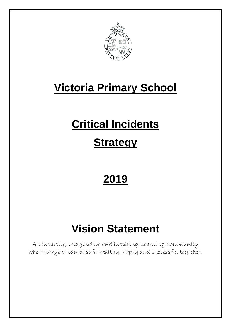

# **Victoria Primary School**

# **Critical Incidents**

# **Strategy**

# **2019**

# **Vision Statement**

An inclusive, imaginative and inspiring Learning Community where everyone can be safe, healthy, happy and successful together.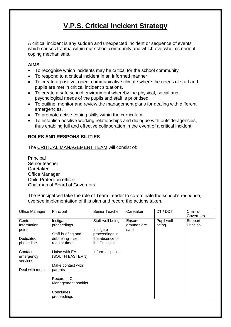# **V.P.S. Critical Incident Strategy**

A critical incident is any sudden and unexpected incident or sequence of events which causes trauma within our school community and which overwhelms normal coping mechanisms.

### **AIMS**

- To recognise which incidents may be critical for the school community
- To respond to a critical incident in an informed manner
- To create a positive, open, communicative climate where the needs of staff and pupils are met in critical incident situations.
- To create a safe school environment whereby the physical, social and psychological needs of the pupils and staff is prioritised.
- To outline, monitor and review the management plans for dealing with different emergencies.
- To promote active coping skills within the curriculum.
- To establish positive working relationships and dialogue with outside agencies, thus enabling full and effective collaboration in the event of a critical incident.

## **ROLES AND RESPONSIBILITIES**

The CRITICAL MANAGEMENT TEAM will consist of:

Principal Senior teacher Caretaker Office Manager Child Protection officer Chairman of Board of Governors

The Principal will take the role of Team Leader to co-ordinate the school's response, oversee implementation of this plan and record the actions taken.

| <b>Office Manager</b>                                      | Principal                                                                                                                             | Senior Teacher                                                                     | Caretaker                     | DT / DDT            | Chair of<br>Governors |
|------------------------------------------------------------|---------------------------------------------------------------------------------------------------------------------------------------|------------------------------------------------------------------------------------|-------------------------------|---------------------|-----------------------|
| Central<br>Information<br>point<br>Dedicated<br>phone line | Instigates<br>proceedings<br>Staff briefing and<br>debriefing - set<br>regular times                                                  | Staff well being<br>Instigate<br>proceedings in<br>the absence of<br>the Principal | Ensure<br>grounds are<br>safe | Pupil well<br>being | Support<br>Principal  |
| Contact<br>emergency<br>services<br>Deal with media        | Liaise with EA<br>(SOUTH EASTERN)<br>Make contact with<br>parents<br>Record in C.I.<br>Management booklet<br>Concludes<br>proceedings | Inform all pupils                                                                  |                               |                     |                       |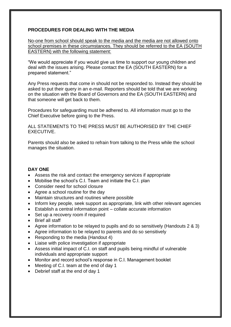### **PROCEDURES FOR DEALING WITH THE MEDIA**

No-one from school should speak to the media and the media are not allowed onto school premises in these circumstances. They should be referred to the EA (SOUTH EASTERN) with the following statement:

"We would appreciate if you would give us time to support our young children and deal with the issues arising. Please contact the EA (SOUTH EASTERN) for a prepared statement."

Any Press requests that come in should not be responded to. Instead they should be asked to put their query in an e-mail. Reporters should be told that we are working on the situation with the Board of Governors and the EA (SOUTH EASTERN) and that someone will get back to them.

Procedures for safeguarding must be adhered to. All information must go to the Chief Executive before going to the Press.

ALL STATEMENTS TO THE PRESS MUST BE AUTHORISED BY THE CHIEF EXECUTIVE.

Parents should also be asked to refrain from talking to the Press while the school manages the situation.

#### **DAY ONE**

- Assess the risk and contact the emergency services if appropriate
- Mobilise the school's C.I. Team and initiate the C.I. plan
- Consider need for school closure
- Agree a school routine for the day
- Maintain structures and routines where possible
- Inform key people, seek support as appropriate, link with other relevant agencies
- Establish a central information point collate accurate information
- Set up a recovery room if required
- Brief all staff
- Agree information to be relayed to pupils and do so sensitively (Handouts 2 & 3)
- Agree information to be relayed to parents and do so sensitively
- Responding to the media (Handout 4)
- Liaise with police investigation if appropriate
- Assess initial impact of C.I. on staff and pupils being mindful of vulnerable individuals and appropriate support
- Monitor and record school's response in C.I. Management booklet
- Meeting of C.I. team at the end of day 1
- Debrief staff at the end of day 1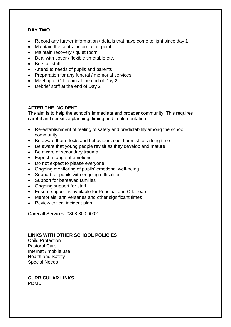## **DAY TWO**

- Record any further information / details that have come to light since day 1
- Maintain the central information point
- Maintain recovery / quiet room
- Deal with cover / flexible timetable etc.
- Brief all staff
- Attend to needs of pupils and parents
- Preparation for any funeral / memorial services
- Meeting of C.I. team at the end of Day 2
- Debrief staff at the end of Day 2

### **AFTER THE INCIDENT**

The aim is to help the school's immediate and broader community. This requires careful and sensitive planning, timing and implementation.

- Re-establishment of feeling of safety and predictability among the school community
- Be aware that effects and behaviours could persist for a long time
- Be aware that young people revisit as they develop and mature
- Be aware of secondary trauma
- Expect a range of emotions
- Do not expect to please everyone
- Ongoing monitoring of pupils' emotional well-being
- Support for pupils with ongoing difficulties
- Support for bereaved families
- Ongoing support for staff
- Ensure support is available for Principal and C.I. Team
- Memorials, anniversaries and other significant times
- Review critical incident plan

Carecall Services: 0808 800 0002

#### **LINKS WITH OTHER SCHOOL POLICIES**

Child Protection Pastoral Care Internet / mobile use Health and Safety Special Needs

#### **CURRICULAR LINKS** PDMU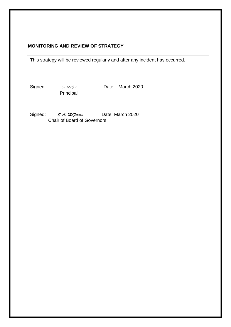# **MONITORING AND REVIEW OF STRATEGY**

| This strategy will be reviewed regularly and after any incident has occurred. |  |  |  |
|-------------------------------------------------------------------------------|--|--|--|
|-------------------------------------------------------------------------------|--|--|--|

Principal

Signed: S. Weir Date: March 2020

Signed: *S.A. McJerran* Date: March 2020 Chair of Board of Governors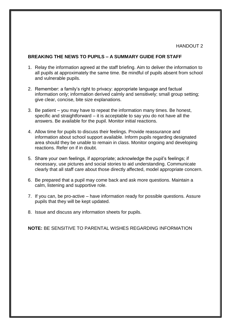#### HANDOUT<sub>2</sub>

#### **BREAKING THE NEWS TO PUPILS – A SUMMARY GUIDE FOR STAFF**

- 1. Relay the information agreed at the staff briefing. Aim to deliver the information to all pupils at approximately the same time. Be mindful of pupils absent from school and vulnerable pupils.
- 2. Remember: a family's right to privacy: appropriate language and factual information only; information derived calmly and sensitively; small group setting; give clear, concise, bite size explanations.
- 3. Be patient you may have to repeat the information many times. Be honest, specific and straightforward – it is acceptable to say you do not have all the answers. Be available for the pupil. Monitor initial reactions.
- 4. Allow time for pupils to discuss their feelings. Provide reassurance and information about school support available. Inform pupils regarding designated area should they be unable to remain in class. Monitor ongoing and developing reactions. Refer on if in doubt.
- 5. Share your own feelings, if appropriate; acknowledge the pupil's feelings; if necessary, use pictures and social stories to aid understanding. Communicate clearly that all staff care about those directly affected, model appropriate concern.
- 6. Be prepared that a pupil may come back and ask more questions. Maintain a calm, listening and supportive role.
- 7. If you can, be pro-active have information ready for possible questions. Assure pupils that they will be kept updated.
- 8. Issue and discuss any information sheets for pupils.

**NOTE:** BE SENSITIVE TO PARENTAL WISHES REGARDING INFORMATION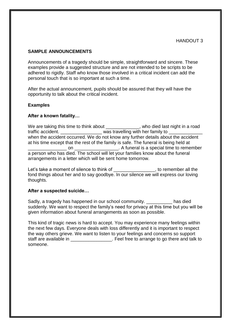#### **SAMPLE ANNOUNCEMENTS**

Announcements of a tragedy should be simple, straightforward and sincere. These examples provide a suggested structure and are not intended to be scripts to be adhered to rigidly. Staff who know those involved in a critical incident can add the personal touch that is so important at such a time.

After the actual announcement, pupils should be assured that they will have the opportunity to talk about the critical incident.

#### **Examples**

#### **After a known fatality…**

We are taking this time to think about \_\_\_\_\_\_\_\_\_\_\_\_, who died last night in a road traffic accident. \_\_\_\_\_\_\_\_\_\_\_\_\_\_\_\_\_\_\_\_\_\_\_\_ was travelling with her family to when the accident occurred. We do not know any further details about the accident at his time except that the rest of the family is safe. The funeral is being held at \_\_\_\_\_\_\_\_\_\_\_\_\_\_\_ on \_\_\_\_\_\_\_\_\_\_\_\_\_\_\_\_\_. A funeral is a special time to remember a person who has died. The school will let your families know about the funeral arrangements in a letter which will be sent home tomorrow.

Let's take a moment of silence to think of \_\_\_\_\_\_\_\_\_\_\_\_\_\_\_\_\_\_, to remember all the fond things about her and to say goodbye. In our silence we will express our loving thoughts.

#### **After a suspected suicide…**

Sadly, a tragedy has happened in our school community. The has died suddenly. We want to respect the family's need for privacy at this time but you will be given information about funeral arrangements as soon as possible.

This kind of tragic news is hard to accept. You may experience many feelings within the next few days. Everyone deals with loss differently and it is important to respect the way others grieve. We want to listen to your feelings and concerns so support staff are available in **EXEC 10** Feel free to arrange to go there and talk to someone.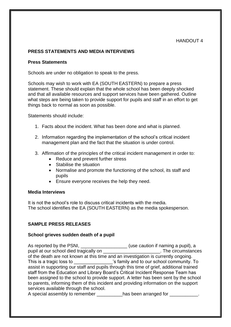#### HANDOUT 4

#### **PRESS STATEMENTS AND MEDIA INTERVIEWS**

#### **Press Statements**

Schools are under no obligation to speak to the press.

Schools may wish to work with EA (SOUTH EASTERN) to prepare a press statement. These should explain that the whole school has been deeply shocked and that all available resources and support services have been gathered. Outline what steps are being taken to provide support for pupils and staff in an effort to get things back to normal as soon as possible.

Statements should include:

- 1. Facts about the incident. What has been done and what is planned.
- 2. Information regarding the implementation of the school's critical incident management plan and the fact that the situation is under control.
- 3. Affirmation of the principles of the critical incident management in order to:
	- Reduce and prevent further stress
	- Stabilise the situation
	- Normalise and promote the functioning of the school, its staff and pupils
	- Ensure everyone receives the help they need.

#### **Media Interviews**

It is not the school's role to discuss critical incidents with the media. The school identifies the EA (SOUTH EASTERN) as the media spokesperson.

#### **SAMPLE PRESS RELEASES**

#### **School grieves sudden death of a pupil**

As reported by the PSNI, \_\_\_\_\_\_\_\_\_\_\_\_\_\_\_\_\_\_\_\_\_\_(use caution if naming a pupil), a pupil at our school died tragically on  $\Box$  The circumstances of the death are not known at this time and an investigation is currently ongoing. This is a tragic loss to \_\_\_\_\_\_\_\_\_\_\_\_\_\_\_'s family and to our school community. To assist in supporting our staff and pupils through this time of grief, additional trained staff from the Education and Library Board's Critical Incident Response Team has been assigned to the school to provide support. A letter has been sent by the school to parents, informing them of this incident and providing information on the support services available through the school.

A special assembly to remember has been arranged for  $\Box$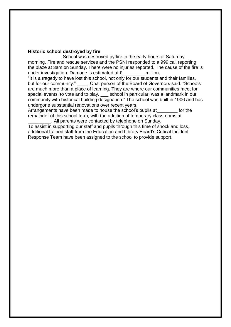#### **Historic school destroyed by fire**

\_\_\_\_\_\_\_\_\_\_\_\_\_ School was destroyed by fire in the early hours of Saturday morning. Fire and rescue services and the PSNI responded to a 999 call reporting the blaze at 3am on Sunday. There were no injuries reported. The cause of the fire is under investigation. Damage is estimated at  $E$  million.

"It is a tragedy to have lost this school, not only for our students and their families, but for our community." Fundally posters on of the Board of Governors said. "Schools are much more than a place of learning. They are where our communities meet for special events, to vote and to play. school in particular, was a landmark in our community with historical building designation." The school was built in 1906 and has undergone substantial renovations over recent years.

Arrangements have been made to house the school's pupils at for the remainder of this school term, with the addition of temporary classrooms at . All parents were contacted by telephone on Sunday.

To assist in supporting our staff and pupils through this time of shock and loss, additional trained staff from the Education and Library Board's Critical Incident Response Team have been assigned to the school to provide support.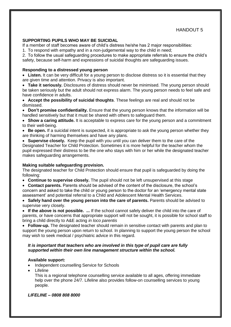#### **SUPPORTING PUPILS WHO MAY BE SUICIDAL**

If a member of staff becomes aware of child's distress he/she has 2 major responsibilities:

1. To respond with empathy and in a non-judgemental way to the child in need;

2. To follow the usual safeguarding procedures to make appropriate referrals to ensure the child's safety, because self-harm and expressions of suicidal thoughts are safeguarding issues.

#### **Responding to a distressed young person**

• Listen. It can be very difficult for a young person to disclose distress so it is essential that they are given time and attention. Privacy is also important.

 **Take it seriously.** Disclosures of distress should never be minimised. The young person should be taken seriously but the adult should not express alarm. The young person needs to feel safe and have confidence in adults.

 **Accept the possibility of suicidal thoughts**. These feelings are real and should not be dismissed.

 **Don't promise confidentiality.** Ensure that the young person knows that the information will be handled sensitively but that it must be shared with others to safeguard them.

 **Show a caring attitude.** It is acceptable to express care for the young person and a commitment to their well-being.

• Be open. If a suicidal intent is suspected, it is appropriate to ask the young person whether they are thinking of harming themselves and have any plans.

 **Supervise closely.** Keep the pupil with you until you can deliver them to the care of the Designated Teacher for Child Protection. Sometimes it is more helpful for the teacher whom the pupil expressed their distress to be the one who stays with him or her while the designated teacher makes safeguarding arrangements.

#### **Making suitable safeguarding provision.**

The designated teacher for Child Protection should ensure that pupil is safeguarded by doing the following:

**Continue to supervise closely.** The pupil should not be left unsupervised at this stage

 **Contact parents.** Parents should be advised of the content of the disclosure, the school's concern and asked to take the child or young person to the doctor for an 'emergency mental state assessment' and potential referral to a Child and Adolescent Mental Health Services.

• Safely hand over the young person into the care of parents. Parents should be advised to supervise very closely.

 **If the above is not possible. ...** If the school cannot safely deliver the child into the care of parents, or have concerns that appropriate support will not be sought, it is possible for school staff to bring a child directly to A&E acting *in loco parentis*

 **Follow-up.** The designated teacher should remain in sensitive contact with parents and plan to support the young person upon return to school. In planning to support the young person the school may wish to seek medical / psychiatric advice in this regard.

#### *It is important that teachers who are involved in this type of pupil care are fully supported within their own line management structure within the school.*

#### **Available support:**

- Independent counselling Service for Schools
- Lifeline

This is a regional telephone counselling service available to all ages, offering immediate help over the phone 24/7. Lifeline also provides follow-on counselling services to young people.

#### *LIFELINE – 0808 808 8000*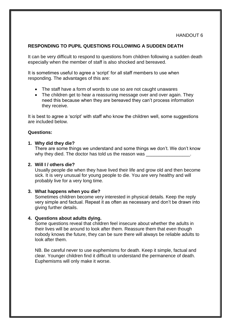#### **RESPONDING TO PUPIL QUESTIONS FOLLOWING A SUDDEN DEATH**

It can be very difficult to respond to questions from children following a sudden death especially when the member of staff is also shocked and bereaved.

It is sometimes useful to agree a 'script' for all staff members to use when responding. The advantages of this are:

- The staff have a form of words to use so are not caught unawares
- The children get to hear a reassuring message over and over again. They need this because when they are bereaved they can't process information they receive.

It is best to agree a 'script' with staff who know the children well, some suggestions are included below.

#### **Questions:**

#### **1. Why did they die?**

There are some things we understand and some things we don't. We don't know why they died. The doctor has told us the reason was

#### **2. Will I / others die?**

Usually people die when they have lived their life and grow old and then become sick. It is very unusual for young people to die. You are very healthy and will probably live for a very long time.

#### **3. What happens when you die?**

Sometimes children become very interested in physical details. Keep the reply very simple and factual. Repeat it as often as necessary and don't be drawn into giving further details.

#### **4. Questions about adults dying.**

Some questions reveal that children feel insecure about whether the adults in their lives will be around to look after them. Reassure them that even though nobody knows the future, they can be sure there will always be reliable adults to look after them.

NB. Be careful never to use euphemisms for death. Keep it simple, factual and clear. Younger children find it difficult to understand the permanence of death. Euphemisms will only make it worse.